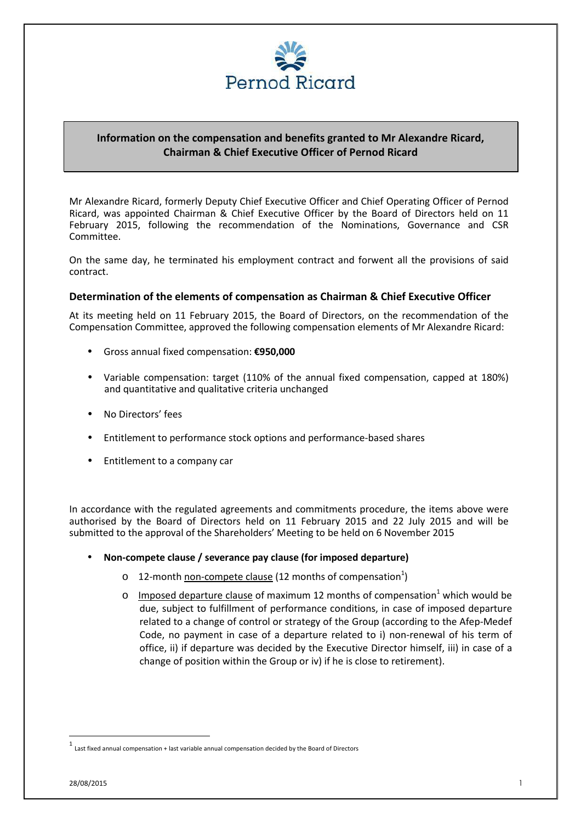

## **Information on the compensation and benefits granted to Mr Alexandre Ricard, Chairman & Chief Executive Officer of Pernod Ricard**

Mr Alexandre Ricard, formerly Deputy Chief Executive Officer and Chief Operating Officer of Pernod Ricard, was appointed Chairman & Chief Executive Officer by the Board of Directors held on 11 February 2015, following the recommendation of the Nominations, Governance and CSR Committee.

On the same day, he terminated his employment contract and forwent all the provisions of said contract.

## **Determination of the elements of compensation as Chairman & Chief Executive Officer**

At its meeting held on 11 February 2015, the Board of Directors, on the recommendation of the Compensation Committee, approved the following compensation elements of Mr Alexandre Ricard:

- Gross annual fixed compensation: **€950,000**
- Variable compensation: target (110% of the annual fixed compensation, capped at 180%) and quantitative and qualitative criteria unchanged
- No Directors' fees
- Entitlement to performance stock options and performance-based shares
- Entitlement to a company car

In accordance with the regulated agreements and commitments procedure, the items above were authorised by the Board of Directors held on 11 February 2015 and 22 July 2015 and will be submitted to the approval of the Shareholders' Meeting to be held on 6 November 2015

- **Non-compete clause / severance pay clause (for imposed departure)** 
	- $\circ$  12-month non-compete clause (12 months of compensation<sup>1</sup>)
	- $\circ$  Imposed departure clause of maximum 12 months of compensation<sup>1</sup> which would be due, subject to fulfillment of performance conditions, in case of imposed departure related to a change of control or strategy of the Group (according to the Afep-Medef Code, no payment in case of a departure related to i) non-renewal of his term of office, ii) if departure was decided by the Executive Director himself, iii) in case of a change of position within the Group or iv) if he is close to retirement).

 $\overline{a}$ 

<sup>1</sup> Last fixed annual compensation + last variable annual compensation decided by the Board of Directors